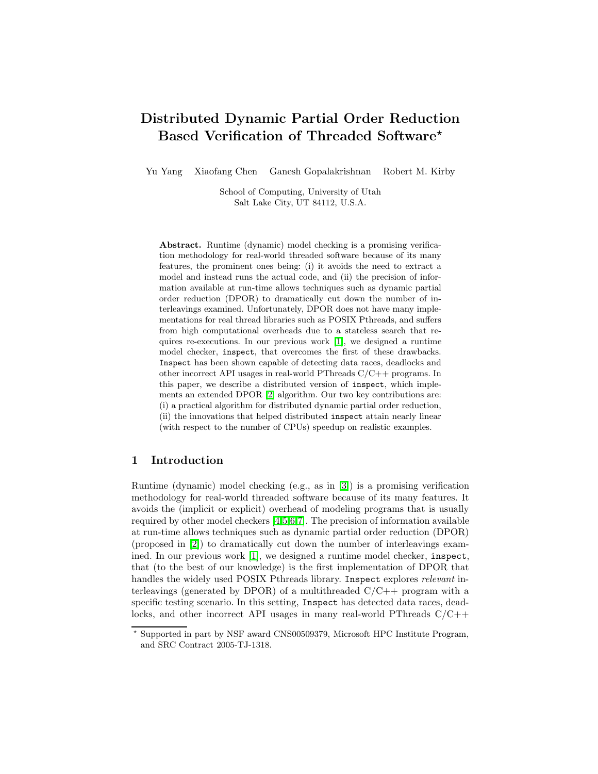# Distributed Dynamic Partial Order Reduction Based Verification of Threaded Software<sup>\*</sup>

Yu Yang Xiaofang Chen Ganesh Gopalakrishnan Robert M. Kirby

School of Computing, University of Utah Salt Lake City, UT 84112, U.S.A.

Abstract. Runtime (dynamic) model checking is a promising verification methodology for real-world threaded software because of its many features, the prominent ones being: (i) it avoids the need to extract a model and instead runs the actual code, and (ii) the precision of information available at run-time allows techniques such as dynamic partial order reduction (DPOR) to dramatically cut down the number of interleavings examined. Unfortunately, DPOR does not have many implementations for real thread libraries such as POSIX Pthreads, and suffers from high computational overheads due to a stateless search that requires re-executions. In our previous work [\[1\]](#page-16-0), we designed a runtime model checker, inspect, that overcomes the first of these drawbacks. Inspect has been shown capable of detecting data races, deadlocks and other incorrect API usages in real-world PThreads C/C++ programs. In this paper, we describe a distributed version of inspect, which implements an extended DPOR [\[2\]](#page-16-1) algorithm. Our two key contributions are: (i) a practical algorithm for distributed dynamic partial order reduction, (ii) the innovations that helped distributed inspect attain nearly linear (with respect to the number of CPUs) speedup on realistic examples.

# 1 Introduction

Runtime (dynamic) model checking (e.g., as in [\[3\]](#page-17-0)) is a promising verification methodology for real-world threaded software because of its many features. It avoids the (implicit or explicit) overhead of modeling programs that is usually required by other model checkers [\[4](#page-17-1)[,5](#page-17-2)[,6](#page-17-3)[,7\]](#page-17-4). The precision of information available at run-time allows techniques such as dynamic partial order reduction (DPOR) (proposed in [\[2\]](#page-16-1)) to dramatically cut down the number of interleavings examined. In our previous work [\[1\]](#page-16-0), we designed a runtime model checker, inspect, that (to the best of our knowledge) is the first implementation of DPOR that handles the widely used POSIX Pthreads library. Inspect explores relevant interleavings (generated by DPOR) of a multithreaded  $C/C++$  program with a specific testing scenario. In this setting, Inspect has detected data races, deadlocks, and other incorrect API usages in many real-world PThreads  $C/C++$ 

<sup>?</sup> Supported in part by NSF award CNS00509379, Microsoft HPC Institute Program, and SRC Contract 2005-TJ-1318.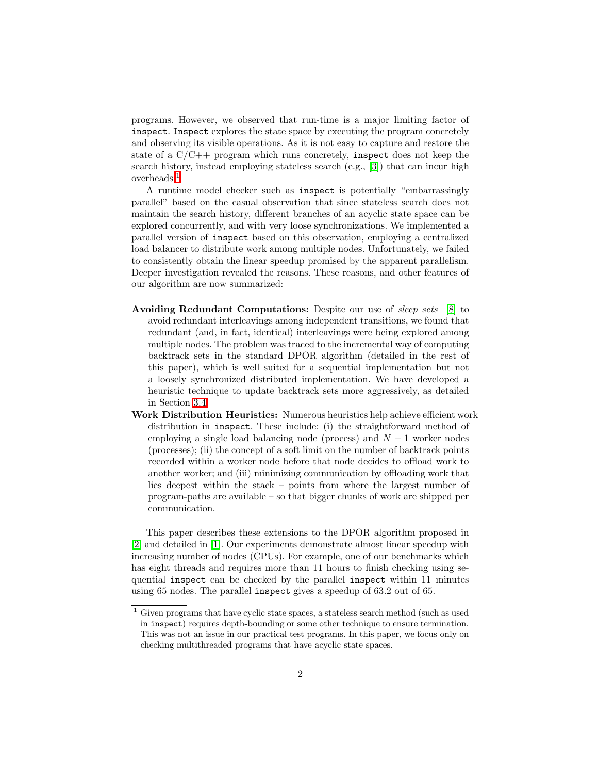programs. However, we observed that run-time is a major limiting factor of inspect. Inspect explores the state space by executing the program concretely and observing its visible operations. As it is not easy to capture and restore the state of a  $C/C++$  program which runs concretely, inspect does not keep the search history, instead employing stateless search (e.g., [\[3\]](#page-17-0)) that can incur high overheads.[1](#page-1-0)

A runtime model checker such as inspect is potentially "embarrassingly parallel" based on the casual observation that since stateless search does not maintain the search history, different branches of an acyclic state space can be explored concurrently, and with very loose synchronizations. We implemented a parallel version of inspect based on this observation, employing a centralized load balancer to distribute work among multiple nodes. Unfortunately, we failed to consistently obtain the linear speedup promised by the apparent parallelism. Deeper investigation revealed the reasons. These reasons, and other features of our algorithm are now summarized:

- Avoiding Redundant Computations: Despite our use of *sleep sets* [\[8\]](#page-17-5) to avoid redundant interleavings among independent transitions, we found that redundant (and, in fact, identical) interleavings were being explored among multiple nodes. The problem was traced to the incremental way of computing backtrack sets in the standard DPOR algorithm (detailed in the rest of this paper), which is well suited for a sequential implementation but not a loosely synchronized distributed implementation. We have developed a heuristic technique to update backtrack sets more aggressively, as detailed in Section [3.4.](#page-9-0)
- Work Distribution Heuristics: Numerous heuristics help achieve efficient work distribution in inspect. These include: (i) the straightforward method of employing a single load balancing node (process) and  $N-1$  worker nodes (processes); (ii) the concept of a soft limit on the number of backtrack points recorded within a worker node before that node decides to offload work to another worker; and (iii) minimizing communication by offloading work that lies deepest within the stack – points from where the largest number of program-paths are available – so that bigger chunks of work are shipped per communication.

This paper describes these extensions to the DPOR algorithm proposed in [\[2\]](#page-16-1) and detailed in [\[1\]](#page-16-0). Our experiments demonstrate almost linear speedup with increasing number of nodes (CPUs). For example, one of our benchmarks which has eight threads and requires more than 11 hours to finish checking using sequential inspect can be checked by the parallel inspect within 11 minutes using 65 nodes. The parallel inspect gives a speedup of 63.2 out of 65.

<span id="page-1-0"></span><sup>&</sup>lt;sup>1</sup> Given programs that have cyclic state spaces, a stateless search method (such as used in inspect) requires depth-bounding or some other technique to ensure termination. This was not an issue in our practical test programs. In this paper, we focus only on checking multithreaded programs that have acyclic state spaces.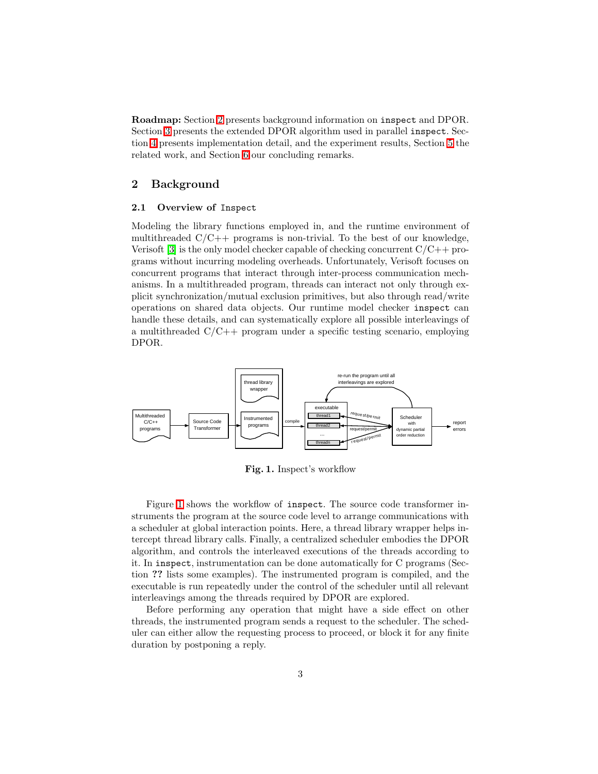Roadmap: Section [2](#page-2-0) presents background information on inspect and DPOR. Section [3](#page-5-0) presents the extended DPOR algorithm used in parallel inspect. Section [4](#page-13-0) presents implementation detail, and the experiment results, Section [5](#page-16-2) the related work, and Section [6](#page-16-3) our concluding remarks.

# <span id="page-2-0"></span>2 Background

## 2.1 Overview of Inspect

Modeling the library functions employed in, and the runtime environment of multithreaded  $C/C++$  programs is non-trivial. To the best of our knowledge, Verisoft [\[3\]](#page-17-0) is the only model checker capable of checking concurrent  $C/C++$  programs without incurring modeling overheads. Unfortunately, Verisoft focuses on concurrent programs that interact through inter-process communication mechanisms. In a multithreaded program, threads can interact not only through explicit synchronization/mutual exclusion primitives, but also through read/write operations on shared data objects. Our runtime model checker inspect can handle these details, and can systematically explore all possible interleavings of a multithreaded  $C/C++$  program under a specific testing scenario, employing DPOR.



<span id="page-2-1"></span>Fig. 1. Inspect's workflow

Figure [1](#page-2-1) shows the workflow of inspect. The source code transformer instruments the program at the source code level to arrange communications with a scheduler at global interaction points. Here, a thread library wrapper helps intercept thread library calls. Finally, a centralized scheduler embodies the DPOR algorithm, and controls the interleaved executions of the threads according to it. In inspect, instrumentation can be done automatically for C programs (Section ?? lists some examples). The instrumented program is compiled, and the executable is run repeatedly under the control of the scheduler until all relevant interleavings among the threads required by DPOR are explored.

Before performing any operation that might have a side effect on other threads, the instrumented program sends a request to the scheduler. The scheduler can either allow the requesting process to proceed, or block it for any finite duration by postponing a reply.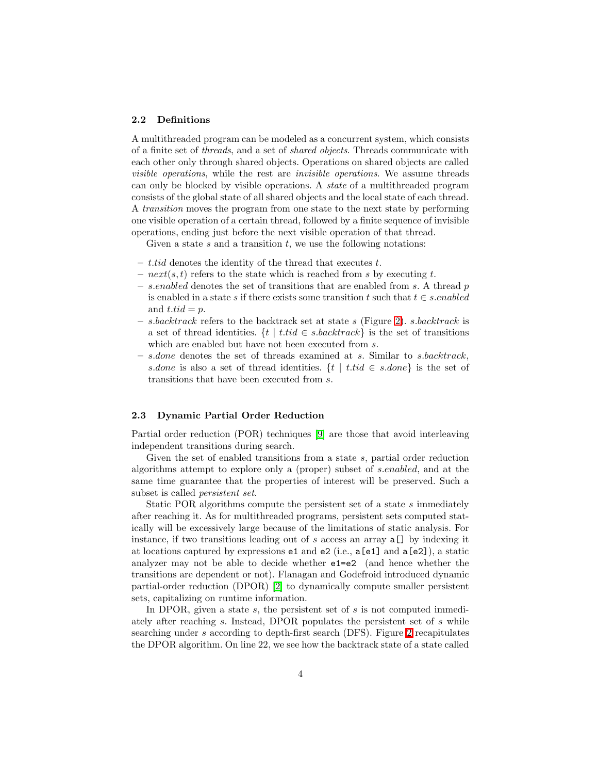#### 2.2 Definitions

A multithreaded program can be modeled as a concurrent system, which consists of a finite set of threads, and a set of shared objects. Threads communicate with each other only through shared objects. Operations on shared objects are called visible operations, while the rest are invisible operations. We assume threads can only be blocked by visible operations. A state of a multithreaded program consists of the global state of all shared objects and the local state of each thread. A transition moves the program from one state to the next state by performing one visible operation of a certain thread, followed by a finite sequence of invisible operations, ending just before the next visible operation of that thread.

Given a state  $s$  and a transition  $t$ , we use the following notations:

- $-$  t.tid denotes the identity of the thread that executes t.
- $next(s, t)$  refers to the state which is reached from s by executing t.
- $-$  s.enabled denotes the set of transitions that are enabled from s. A thread p is enabled in a state s if there exists some transition t such that  $t \in s$ .enabled and  $t.tid = p$ .
- $-$  s.backtrack refers to the backtrack set at state s (Figure [2\)](#page-4-0). s.backtrack is a set of thread identities.  $\{t \mid t.tid \in s.\text{backtrack}\}\$ is the set of transitions which are enabled but have not been executed from  $s$ .
- $-$  s.done denotes the set of threads examined at s. Similar to s.backtrack, s.done is also a set of thread identities.  $\{t \mid t.tid \in s.done\}$  is the set of transitions that have been executed from s.

## 2.3 Dynamic Partial Order Reduction

Partial order reduction (POR) techniques [\[9\]](#page-17-6) are those that avoid interleaving independent transitions during search.

Given the set of enabled transitions from a state s, partial order reduction algorithms attempt to explore only a (proper) subset of s.enabled, and at the same time guarantee that the properties of interest will be preserved. Such a subset is called persistent set.

Static POR algorithms compute the persistent set of a state s immediately after reaching it. As for multithreaded programs, persistent sets computed statically will be excessively large because of the limitations of static analysis. For instance, if two transitions leading out of s access an array  $\alpha$ [] by indexing it at locations captured by expressions  $e1$  and  $e2$  (i.e.,  $a[e1]$  and  $a[e2]$ ), a static analyzer may not be able to decide whether e1=e2 (and hence whether the transitions are dependent or not). Flanagan and Godefroid introduced dynamic partial-order reduction (DPOR) [\[2\]](#page-16-1) to dynamically compute smaller persistent sets, capitalizing on runtime information.

In DPOR, given a state  $s$ , the persistent set of  $s$  is not computed immediately after reaching s. Instead, DPOR populates the persistent set of s while searching under s according to depth-first search (DFS). Figure [2](#page-4-0) recapitulates the DPOR algorithm. On line 22, we see how the backtrack state of a state called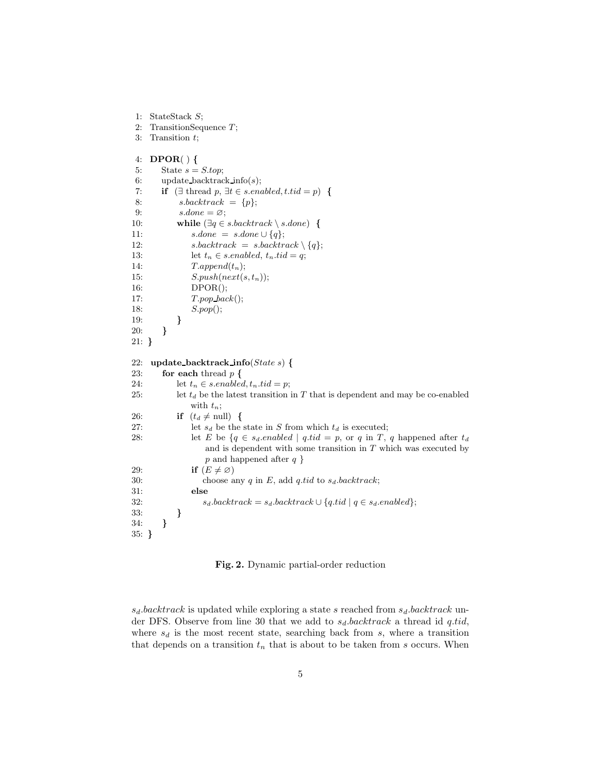```
1: StateStack S;
 2: TransitionSequence T;
 3: Transition t;
 4: DPOR( ) {
 5: State s = S.top;
 6: update_backtrack_info(s);
 7: if (\exists \text{ thread } p, \exists t \in \text{s. enabled}, t.tid = p) {
 8: s.backtrack = {p};9: s.done = \varnothing;10: while (\exists q \in s \text{.} \text{backtrack} \setminus s \text{.} \text{done}) {
11: s.done = s.done \cup \{q\};12: s.\text{backtrack} = \text{s}.\text{backtrack} \setminus \{q\};13: let t_n \in s.\nend{math} \qquad t_n.tid = q;14: T.append(t_n);15: S.push(next(s, t_n));16: DPOR();
17: T.pop\_back();18: S.pop();19: }
20: }
21: }
22: update_backtrack_info(State s) {
23: for each thread p \nvert24: let t_n \in s.\n{enabled}, t_n.\n{tid} = p;25: let t_d be the latest transition in T that is dependent and may be co-enabled
               with t_n;
26: if (t_d \neq \text{null}) {
27: let s_d be the state in S from which t_d is executed;
28: let E be \{q \in s_d.\mathit{enabeled} \mid q.\mathit{tid} = p, \text{ or } q \text{ in } T, q \text{ happened after } t_d\}and is dependent with some transition in T which was executed by
                   p and happened after q \}29: if (E \neq \emptyset)30: choose any q in E, add q.tid to s_d.backtrack;
31: else
32: s_d \cdot \text{backtrack} = s_d \cdot \text{backtrack} \cup \{q \cdot \text{tid} \mid q \in s_d \cdot \text{enabeled} \};33: }
34: }
35: }
```
<span id="page-4-0"></span>Fig. 2. Dynamic partial-order reduction

 $s_d.backtrack$  is updated while exploring a state s reached from  $s_d.backtrack$  under DFS. Observe from line 30 that we add to  $s_d$  backtrack a thread id q.tid, where  $s_d$  is the most recent state, searching back from s, where a transition that depends on a transition  $t_n$  that is about to be taken from s occurs. When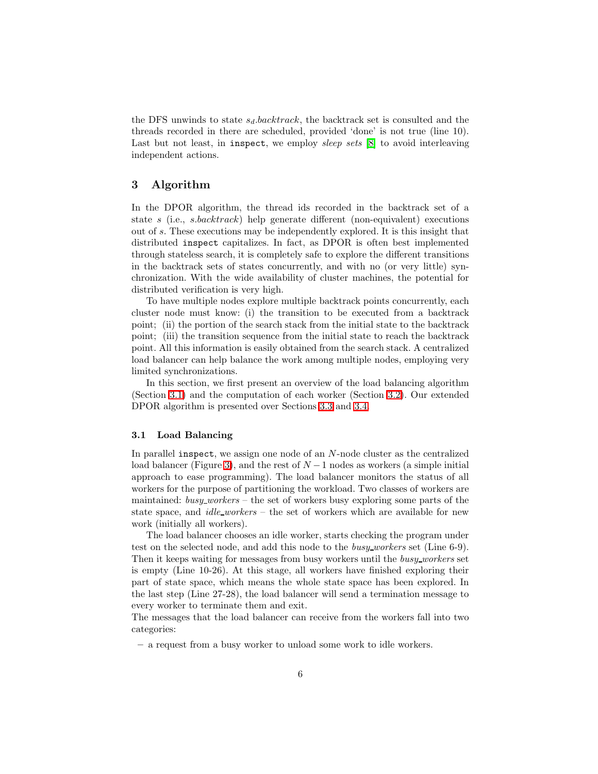the DFS unwinds to state  $s_d$  backtrack, the backtrack set is consulted and the threads recorded in there are scheduled, provided 'done' is not true (line 10). Last but not least, in inspect, we employ *sleep sets* [\[8\]](#page-17-5) to avoid interleaving independent actions.

# <span id="page-5-0"></span>3 Algorithm

In the DPOR algorithm, the thread ids recorded in the backtrack set of a state s (i.e., s.backtrack) help generate different (non-equivalent) executions out of s. These executions may be independently explored. It is this insight that distributed inspect capitalizes. In fact, as DPOR is often best implemented through stateless search, it is completely safe to explore the different transitions in the backtrack sets of states concurrently, and with no (or very little) synchronization. With the wide availability of cluster machines, the potential for distributed verification is very high.

To have multiple nodes explore multiple backtrack points concurrently, each cluster node must know: (i) the transition to be executed from a backtrack point; (ii) the portion of the search stack from the initial state to the backtrack point; (iii) the transition sequence from the initial state to reach the backtrack point. All this information is easily obtained from the search stack. A centralized load balancer can help balance the work among multiple nodes, employing very limited synchronizations.

In this section, we first present an overview of the load balancing algorithm (Section [3.1\)](#page-5-1) and the computation of each worker (Section [3.2\)](#page-7-0). Our extended DPOR algorithm is presented over Sections [3.3](#page-7-1) and [3.4.](#page-9-0)

#### <span id="page-5-1"></span>3.1 Load Balancing

In parallel inspect, we assign one node of an N-node cluster as the centralized load balancer (Figure [3\)](#page-6-0), and the rest of  $N-1$  nodes as workers (a simple initial approach to ease programming). The load balancer monitors the status of all workers for the purpose of partitioning the workload. Two classes of workers are maintained: busy workers – the set of workers busy exploring some parts of the state space, and  $idle\_works -$  the set of workers which are available for new work (initially all workers).

The load balancer chooses an idle worker, starts checking the program under test on the selected node, and add this node to the *busy\_workers* set (Line 6-9). Then it keeps waiting for messages from busy workers until the *busy workers* set is empty (Line 10-26). At this stage, all workers have finished exploring their part of state space, which means the whole state space has been explored. In the last step (Line 27-28), the load balancer will send a termination message to every worker to terminate them and exit.

The messages that the load balancer can receive from the workers fall into two categories:

– a request from a busy worker to unload some work to idle workers.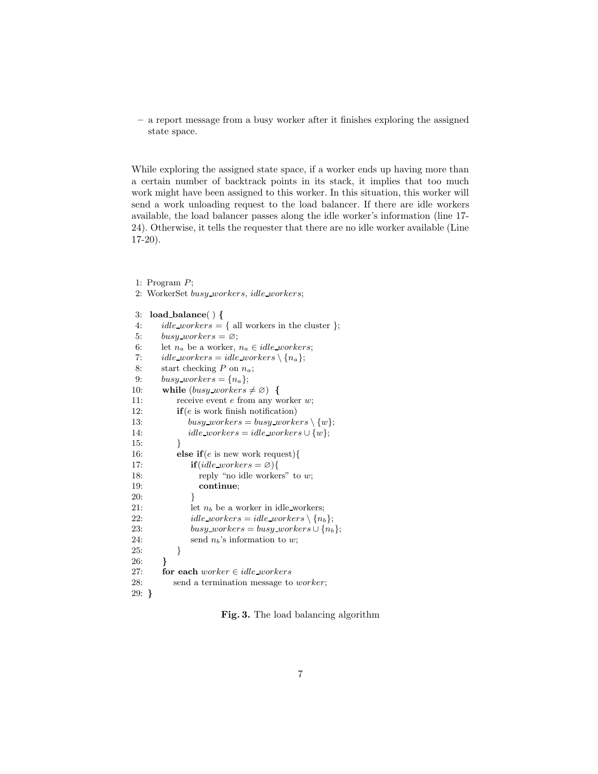– a report message from a busy worker after it finishes exploring the assigned state space.

While exploring the assigned state space, if a worker ends up having more than a certain number of backtrack points in its stack, it implies that too much work might have been assigned to this worker. In this situation, this worker will send a work unloading request to the load balancer. If there are idle workers available, the load balancer passes along the idle worker's information (line 17- 24). Otherwise, it tells the requester that there are no idle worker available (Line 17-20).

1: Program P; 2: WorkerSet busy workers, idle workers; 3: load balance( ) {

| 4:  | <i>idle_workers</i> = { all workers in the cluster }; |
|-----|-------------------------------------------------------|
| 5:  | $busy\_workers = \varnothing$                         |
| 6:  | let $n_a$ be a worker, $n_a \in idle\_works$ ;        |
| 7:  | <i>idle workers</i> = <i>idle workers</i> $\{n_a\};$  |
| 8:  | start checking P on $n_a$ ;                           |
| 9:  | busy_workers = $\{n_a\};$                             |
| 10: | while $(busy_$ <i>works</i> $\neq \emptyset$ ) {      |
| 11: | receive event $e$ from any worker $w$ ;               |
| 12: | $\mathbf{if}(e \text{ is work finish notification})$  |
| 13: | busy_workers = busy_workers $\setminus \{w\};$        |
| 14: | idle_workers = idle_workers $\cup \{w\};$             |
| 15: | ł                                                     |
| 16: | <b>else if</b> ( <i>e</i> is new work request){       |
| 17: | $\mathbf{if}(\text{idle works} = \varnothing)$        |
| 18: | reply "no idle workers" to $w$ ;                      |
| 19: | continue;                                             |
| 20: | ł                                                     |
| 21: | let $n_b$ be a worker in idle_workers;                |
| 22: | <i>idle_workers</i> = <i>idle_workers</i> \{ $n_b$ }; |
| 23: | busy_workers = busy_workers $\cup \{n_b\};$           |
| 24: | send $n_b$ 's information to w;                       |
| 25: | }                                                     |
| 26: |                                                       |
| 27: | for each <i>worker</i> $\in$ <i>idle_workers</i>      |
| 28: | send a termination message to <i>worker</i> ;         |
| 29: | ł                                                     |

<span id="page-6-0"></span>Fig. 3. The load balancing algorithm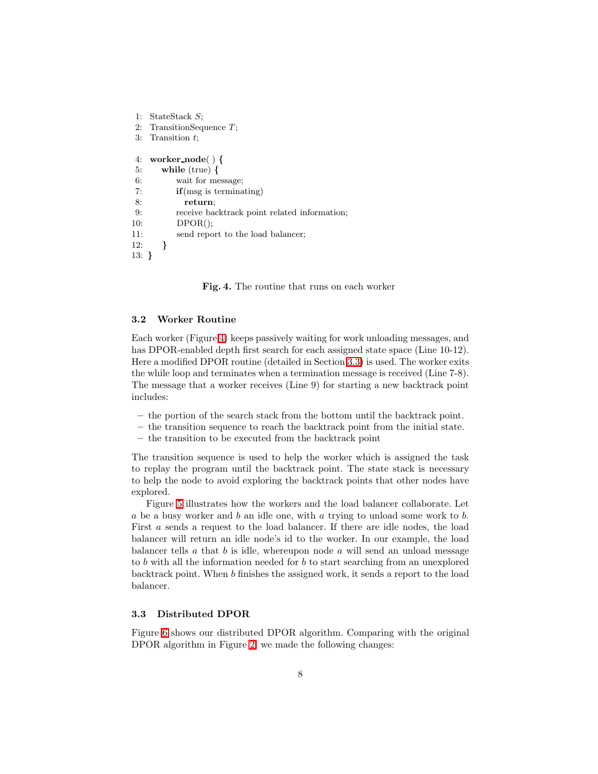|                  | 1: StateStack $S$ :                          |
|------------------|----------------------------------------------|
|                  | 2: TransitionSequence $T$ :                  |
|                  | 3: Transition $t$ ;                          |
|                  |                                              |
| 4:               | worker_node( $)$ {                           |
| 5:               | while $(true)$ {                             |
| 6:               | wait for message;                            |
| 7:               | if(msg is terminating)                       |
| 8:               | return;                                      |
| 9:               | receive backtrack point related information; |
| 10:              | DPOR()                                       |
| 11:              | send report to the load balancer;            |
| 12:              |                                              |
| $13: \mathsf{R}$ |                                              |

<span id="page-7-2"></span>Fig. 4. The routine that runs on each worker

#### <span id="page-7-0"></span>3.2 Worker Routine

Each worker (Figure [4\)](#page-7-2) keeps passively waiting for work unloading messages, and has DPOR-enabled depth first search for each assigned state space (Line 10-12). Here a modified DPOR routine (detailed in Section [3.3\)](#page-7-1) is used. The worker exits the while loop and terminates when a termination message is received (Line 7-8). The message that a worker receives (Line 9) for starting a new backtrack point includes:

- the portion of the search stack from the bottom until the backtrack point.
- the transition sequence to reach the backtrack point from the initial state.
- the transition to be executed from the backtrack point

The transition sequence is used to help the worker which is assigned the task to replay the program until the backtrack point. The state stack is necessary to help the node to avoid exploring the backtrack points that other nodes have explored.

Figure [5](#page-8-0) illustrates how the workers and the load balancer collaborate. Let  $a$  be a busy worker and  $b$  an idle one, with  $a$  trying to unload some work to  $b$ . First a sends a request to the load balancer. If there are idle nodes, the load balancer will return an idle node's id to the worker. In our example, the load balancer tells  $a$  that  $b$  is idle, whereupon node  $a$  will send an unload message to b with all the information needed for b to start searching from an unexplored backtrack point. When b finishes the assigned work, it sends a report to the load balancer.

#### <span id="page-7-1"></span>3.3 Distributed DPOR

Figure [6](#page-9-1) shows our distributed DPOR algorithm. Comparing with the original DPOR algorithm in Figure [2,](#page-4-0) we made the following changes: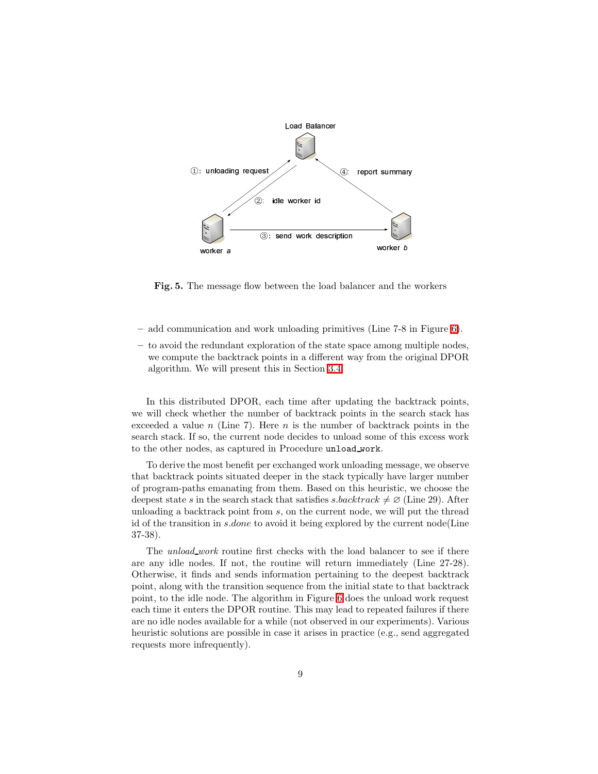

<span id="page-8-0"></span>Fig. 5. The message flow between the load balancer and the workers

- add communication and work unloading primitives (Line 7-8 in Figure [6\)](#page-9-1).
- to avoid the redundant exploration of the state space among multiple nodes, we compute the backtrack points in a different way from the original DPOR algorithm. We will present this in Section [3.4.](#page-9-0)

In this distributed DPOR, each time after updating the backtrack points, we will check whether the number of backtrack points in the search stack has exceeded a value n (Line 7). Here n is the number of backtrack points in the search stack. If so, the current node decides to unload some of this excess work to the other nodes, as captured in Procedure unload work.

To derive the most benefit per exchanged work unloading message, we observe that backtrack points situated deeper in the stack typically have larger number of program-paths emanating from them. Based on this heuristic, we choose the deepest state s in the search stack that satisfies s.backtrack  $\neq \emptyset$  (Line 29). After unloading a backtrack point from  $s$ , on the current node, we will put the thread id of the transition in s.done to avoid it being explored by the current node(Line 37-38).

The *unload\_work* routine first checks with the load balancer to see if there are any idle nodes. If not, the routine will return immediately (Line 27-28). Otherwise, it finds and sends information pertaining to the deepest backtrack point, along with the transition sequence from the initial state to that backtrack point, to the idle node. The algorithm in Figure [6](#page-9-1) does the unload work request each time it enters the DPOR routine. This may lead to repeated failures if there are no idle nodes available for a while (not observed in our experiments). Various heuristic solutions are possible in case it arises in practice (e.g., send aggregated requests more infrequently).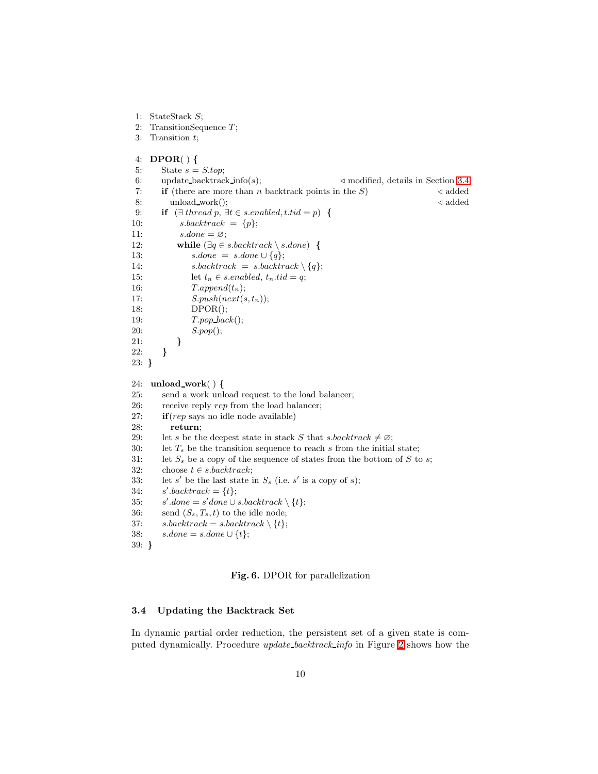```
1: StateStack S;
 2: TransitionSequence T;
 3: Transition t;
 4: DPOR( ) {
 5: State s = S.top;
 6: update backtrack info(s); \triangleleft3.4
 7: if (there are more than n backtrack points in the S) \triangleleft added
 8: unload_work(); \triangleleft added
9: if (\exists \ thread \ p, \exists t \in s.\text{enabeled}, t.tid = p) {
10: s.\text{backtrack} = \{p\};11: s.done = \varnothing;12: while (\exists q \in s \text{.} \text{backtrack} \setminus s \text{.} \text{done}) {
13: s.done = s.done \cup \{q\};14: s.\text{backtrack} = s.\text{backtrack} \setminus \{q\};15: let t_n \in s.\nend{math} t_n.tid = q;16: T.append(t_n);17: S.push(next(s, t_n));18: DPOR();
19: T.pop-back();20: S.pop();21: }
22: }
23: }
24: unload work( ) {
25: send a work unload request to the load balancer;
26: receive reply rep from the load balancer;<br>27: if (rep says no idle node available)
       if (rep says no idle node available)28: return;
29: let s be the deepest state in stack S that s.backtrack \neq \emptyset;
30: let T_s be the transition sequence to reach s from the initial state;
31: let S_s be a copy of the sequence of states from the bottom of S to s;
32: choose t \in s.\text{backtrack};33: let s' be the last state in S_s (i.e. s' is a copy of s);
34:
         '.backtrack = \{t\};
35:done = s'done ∪ s.backtrack \{t};
36: send (S_s, T_s, t) to the idle node;
37: s.\text{backtrack} = s.\text{backtrack} \setminus \{t\};38: s.done = s.done \cup \{t\};39: }
```
#### <span id="page-9-1"></span>Fig. 6. DPOR for parallelization

## <span id="page-9-0"></span>3.4 Updating the Backtrack Set

In dynamic partial order reduction, the persistent set of a given state is computed dynamically. Procedure update backtrack info in Figure [2](#page-4-0) shows how the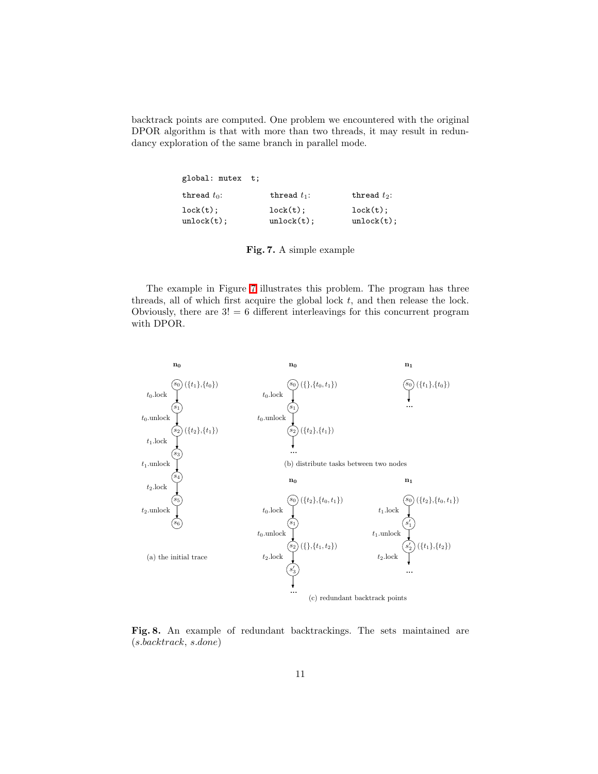backtrack points are computed. One problem we encountered with the original DPOR algorithm is that with more than two threads, it may result in redundancy exploration of the same branch in parallel mode.

| global: mutex t; |                |                |
|------------------|----------------|----------------|
| thread $t_0$ :   | thread $t_1$ : | thread $t_2$ : |
| $lock(t)$ ;      | $lock(t)$ ;    | $lock(t)$ ;    |
| $unlock(t)$ ;    | $unlock(t)$ ;  | $unlock(t)$ ;  |

<span id="page-10-0"></span>Fig. 7. A simple example

The example in Figure [7](#page-10-0) illustrates this problem. The program has three threads, all of which first acquire the global lock  $t$ , and then release the lock. Obviously, there are  $3! = 6$  different interleavings for this concurrent program with DPOR.



<span id="page-10-1"></span>Fig. 8. An example of redundant backtrackings. The sets maintained are (s.backtrack, s.done)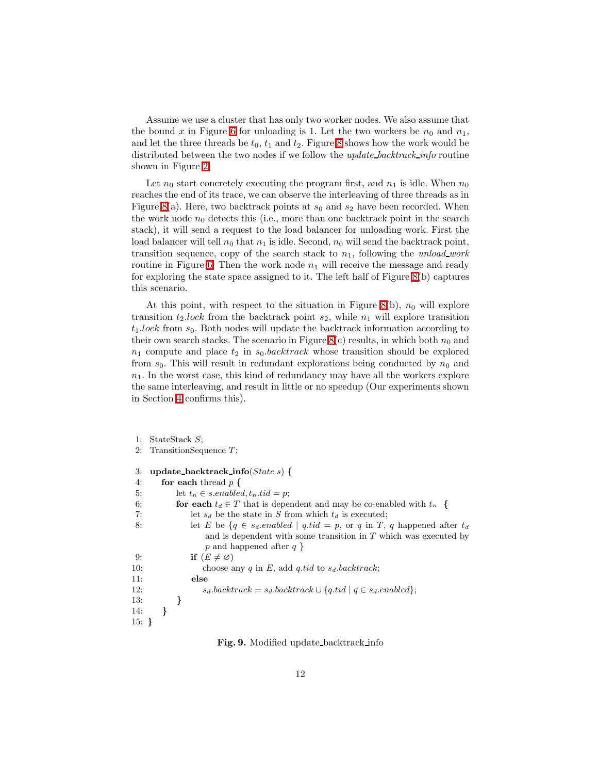Assume we use a cluster that has only two worker nodes. We also assume that the bound x in Figure [6](#page-9-1) for unloading is 1. Let the two workers be  $n_0$  and  $n_1$ , and let the three threads be  $t_0$ ,  $t_1$  and  $t_2$ . Figure [8](#page-10-1) shows how the work would be distributed between the two nodes if we follow the update backtrack info routine shown in Figure [2.](#page-4-0)

Let  $n_0$  start concretely executing the program first, and  $n_1$  is idle. When  $n_0$ reaches the end of its trace, we can observe the interleaving of three threads as in Figure [8\(](#page-10-1)a). Here, two backtrack points at  $s_0$  and  $s_2$  have been recorded. When the work node  $n_0$  detects this (i.e., more than one backtrack point in the search stack), it will send a request to the load balancer for unloading work. First the load balancer will tell  $n_0$  that  $n_1$  is idle. Second,  $n_0$  will send the backtrack point, transition sequence, copy of the search stack to  $n_1$ , following the unload work routine in Figure [6.](#page-9-1) Then the work node  $n_1$  will receive the message and ready for exploring the state space assigned to it. The left half of Figure [8\(](#page-10-1)b) captures this scenario.

At this point, with respect to the situation in Figure [8\(](#page-10-1)b),  $n_0$  will explore transition  $t_2lock$  from the backtrack point  $s_2$ , while  $n_1$  will explore transition  $t_1.lock$  from  $s_0$ . Both nodes will update the backtrack information according to their own search stacks. The scenario in Figure  $8(c)$  $8(c)$  results, in which both  $n_0$  and  $n_1$  compute and place  $t_2$  in  $s_0$  backtrack whose transition should be explored from  $s_0$ . This will result in redundant explorations being conducted by  $n_0$  and  $n_1$ . In the worst case, this kind of redundancy may have all the workers explore the same interleaving, and result in little or no speedup (Our experiments shown in Section [4](#page-13-0) confirms this).

1: StateStack S; 2: TransitionSequence T; 3: update\_backtrack\_info( $State s$ ) { 4: for each thread  $p \n\{$ 5: let  $t_n \in s.\n{enabled}, t_n.tid = p;$ 6: **for each**  $t_d \in T$  that is dependent and may be co-enabled with  $t_n \in \{$ 7: let  $s_d$  be the state in S from which  $t_d$  is executed; 8: let E be  $\{q \in s_d.\{enable\} \mid q.tid = p, \text{ or } q \text{ in } T, q \text{ happened after } t_d\}$ and is dependent with some transition in  $T$  which was executed by p and happened after  $q \}$ 9: if  $(E \neq \emptyset)$ 10: choose any q in  $E$ , add q.tid to  $s_d$ .backtrack; 11: else 12:  $s_d \cdot \text{backtrack} = s_d \cdot \text{backtrack} \cup \{q \cdot \text{tid} \mid q \in s_d \cdot \text{enabeled} \};$ 13: } 14: } 15: }

<span id="page-11-0"></span>Fig. 9. Modified update backtrack info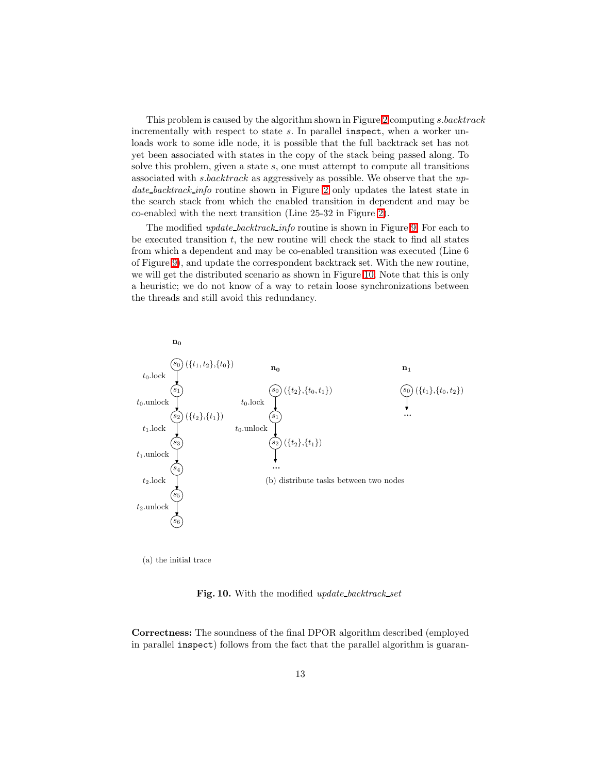This problem is caused by the algorithm shown in Figure [2](#page-4-0) computing s.backtrack incrementally with respect to state s. In parallel inspect, when a worker unloads work to some idle node, it is possible that the full backtrack set has not yet been associated with states in the copy of the stack being passed along. To solve this problem, given a state s, one must attempt to compute all transitions associated with s.backtrack as aggressively as possible. We observe that the update backtrack info routine shown in Figure [2](#page-4-0) only updates the latest state in the search stack from which the enabled transition in dependent and may be co-enabled with the next transition (Line 25-32 in Figure [2\)](#page-4-0).

The modified *update\_backtrack\_info* routine is shown in Figure [9.](#page-11-0) For each to be executed transition  $t$ , the new routine will check the stack to find all states from which a dependent and may be co-enabled transition was executed (Line 6 of Figure [9\)](#page-11-0), and update the correspondent backtrack set. With the new routine, we will get the distributed scenario as shown in Figure [10.](#page-12-0) Note that this is only a heuristic; we do not know of a way to retain loose synchronizations between the threads and still avoid this redundancy.



(a) the initial trace

<span id="page-12-0"></span>Fig. 10. With the modified update backtrack set

Correctness: The soundness of the final DPOR algorithm described (employed in parallel inspect) follows from the fact that the parallel algorithm is guaran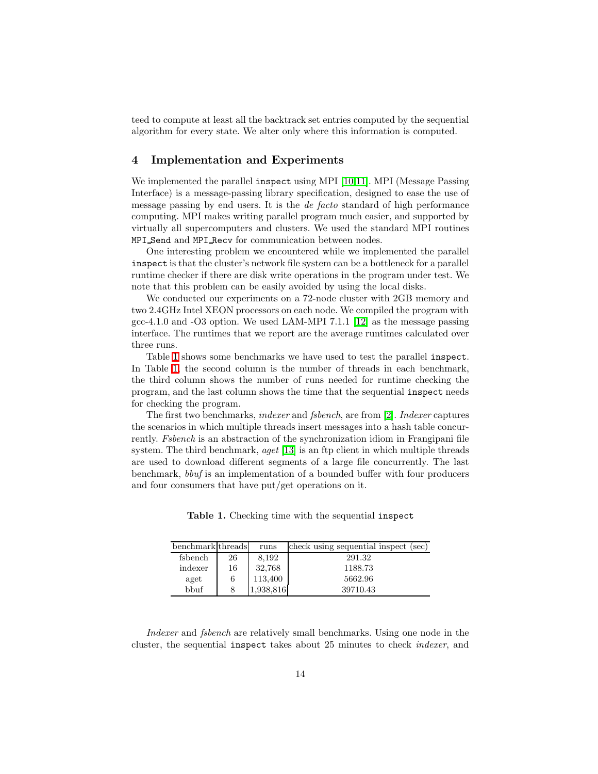teed to compute at least all the backtrack set entries computed by the sequential algorithm for every state. We alter only where this information is computed.

## <span id="page-13-0"></span>4 Implementation and Experiments

We implemented the parallel inspect using MPI [\[10,](#page-17-7)[11\]](#page-17-8). MPI (Message Passing Interface) is a message-passing library specification, designed to ease the use of message passing by end users. It is the de facto standard of high performance computing. MPI makes writing parallel program much easier, and supported by virtually all supercomputers and clusters. We used the standard MPI routines MPI Send and MPI Recv for communication between nodes.

One interesting problem we encountered while we implemented the parallel inspect is that the cluster's network file system can be a bottleneck for a parallel runtime checker if there are disk write operations in the program under test. We note that this problem can be easily avoided by using the local disks.

We conducted our experiments on a 72-node cluster with 2GB memory and two 2.4GHz Intel XEON processors on each node. We compiled the program with gcc-4.1.0 and -O3 option. We used LAM-MPI 7.1.1 [\[12\]](#page-17-9) as the message passing interface. The runtimes that we report are the average runtimes calculated over three runs.

Table [1](#page-13-1) shows some benchmarks we have used to test the parallel inspect. In Table [1,](#page-13-1) the second column is the number of threads in each benchmark, the third column shows the number of runs needed for runtime checking the program, and the last column shows the time that the sequential inspect needs for checking the program.

The first two benchmarks, indexer and fsbench, are from [\[2\]](#page-16-1). Indexer captures the scenarios in which multiple threads insert messages into a hash table concurrently. *Fsbench* is an abstraction of the synchronization idiom in Frangipani file system. The third benchmark, aget [\[13\]](#page-17-10) is an ftp client in which multiple threads are used to download different segments of a large file concurrently. The last benchmark, bbuf is an implementation of a bounded buffer with four producers and four consumers that have put/get operations on it.

<span id="page-13-1"></span>Table 1. Checking time with the sequential inspect

| benchmark threads |    | runs      | check using sequential inspect (sec) |
|-------------------|----|-----------|--------------------------------------|
| fsbench           | 26 | 8.192     | 291.32                               |
| indexer           | 16 | 32,768    | 1188.73                              |
| aget              | 6  | 113,400   | 5662.96                              |
| bbuf              |    | 1,938,816 | 39710.43                             |

Indexer and fsbench are relatively small benchmarks. Using one node in the cluster, the sequential inspect takes about 25 minutes to check indexer, and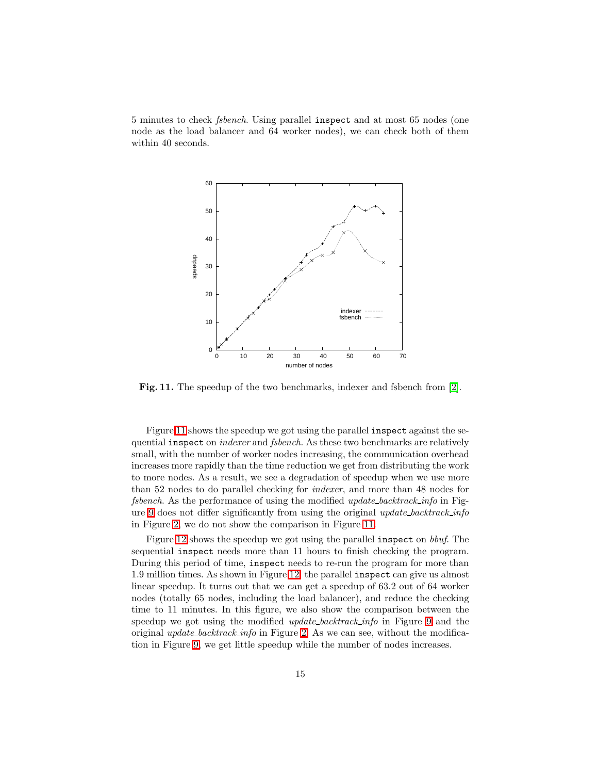5 minutes to check fsbench. Using parallel inspect and at most 65 nodes (one node as the load balancer and 64 worker nodes), we can check both of them within 40 seconds.



<span id="page-14-0"></span>Fig. 11. The speedup of the two benchmarks, indexer and fsbench from [\[2\]](#page-16-1).

Figure [11](#page-14-0) shows the speedup we got using the parallel inspect against the sequential inspect on *indexer* and *fsbench*. As these two benchmarks are relatively small, with the number of worker nodes increasing, the communication overhead increases more rapidly than the time reduction we get from distributing the work to more nodes. As a result, we see a degradation of speedup when we use more than 52 nodes to do parallel checking for indexer, and more than 48 nodes for fsbench. As the performance of using the modified update backtrack info in Fig-ure [9](#page-11-0) does not differ significantly from using the original update backtrack info in Figure [2,](#page-4-0) we do not show the comparison in Figure [11.](#page-14-0)

Figure [12](#page-15-0) shows the speedup we got using the parallel inspect on *bbuf*. The sequential inspect needs more than 11 hours to finish checking the program. During this period of time, inspect needs to re-run the program for more than 1.9 million times. As shown in Figure [12,](#page-15-0) the parallel inspect can give us almost linear speedup. It turns out that we can get a speedup of 63.2 out of 64 worker nodes (totally 65 nodes, including the load balancer), and reduce the checking time to 11 minutes. In this figure, we also show the comparison between the speedup we got using the modified *update\_backtrack\_info* in Figure [9](#page-11-0) and the original *update backtrack info* in Figure [2.](#page-4-0) As we can see, without the modification in Figure [9,](#page-11-0) we get little speedup while the number of nodes increases.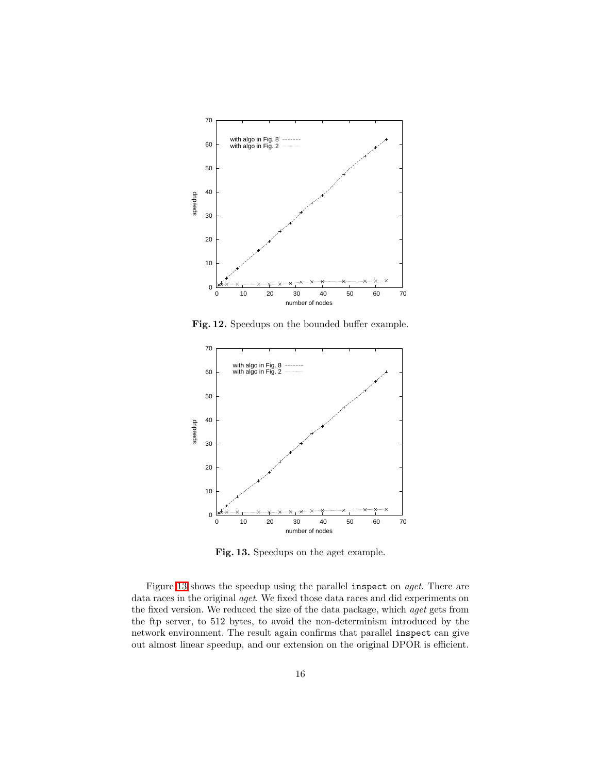

Fig. 12. Speedups on the bounded buffer example.

<span id="page-15-0"></span>

<span id="page-15-1"></span>Fig. 13. Speedups on the aget example.

Figure [13](#page-15-1) shows the speedup using the parallel inspect on aget. There are data races in the original aget. We fixed those data races and did experiments on the fixed version. We reduced the size of the data package, which aget gets from the ftp server, to 512 bytes, to avoid the non-determinism introduced by the network environment. The result again confirms that parallel inspect can give out almost linear speedup, and our extension on the original DPOR is efficient.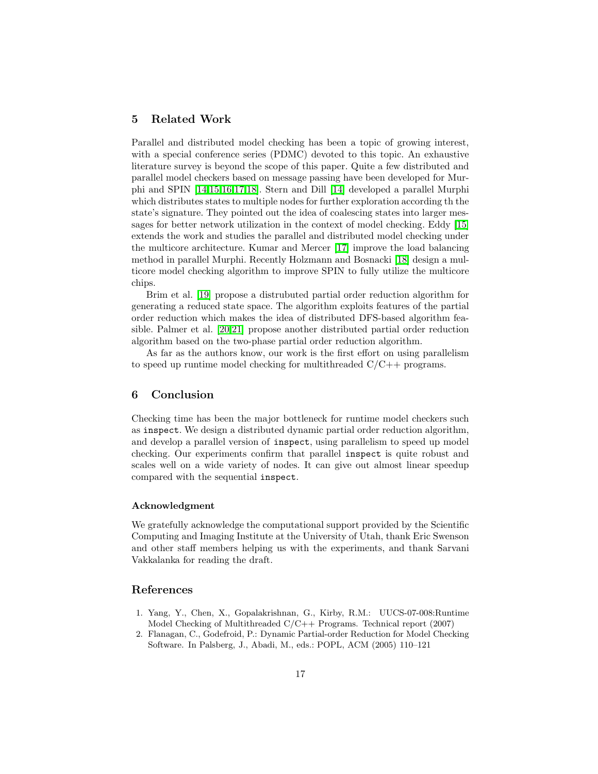## <span id="page-16-2"></span>5 Related Work

Parallel and distributed model checking has been a topic of growing interest, with a special conference series (PDMC) devoted to this topic. An exhaustive literature survey is beyond the scope of this paper. Quite a few distributed and parallel model checkers based on message passing have been developed for Murphi and SPIN [\[14](#page-17-11)[,15,](#page-17-12)[16](#page-17-13)[,17,](#page-17-14)[18\]](#page-17-15). Stern and Dill [\[14\]](#page-17-11) developed a parallel Murphi which distributes states to multiple nodes for further exploration according th the state's signature. They pointed out the idea of coalescing states into larger messages for better network utilization in the context of model checking. Eddy [\[15\]](#page-17-12) extends the work and studies the parallel and distributed model checking under the multicore architecture. Kumar and Mercer [\[17\]](#page-17-14) improve the load balancing method in parallel Murphi. Recently Holzmann and Bosnacki [\[18\]](#page-17-15) design a multicore model checking algorithm to improve SPIN to fully utilize the multicore chips.

Brim et al. [\[19\]](#page-17-16) propose a distrubuted partial order reduction algorithm for generating a reduced state space. The algorithm exploits features of the partial order reduction which makes the idea of distributed DFS-based algorithm feasible. Palmer et al. [\[20,](#page-17-17)[21\]](#page-17-18) propose another distributed partial order reduction algorithm based on the two-phase partial order reduction algorithm.

As far as the authors know, our work is the first effort on using parallelism to speed up runtime model checking for multithreaded  $C/C++$  programs.

# <span id="page-16-3"></span>6 Conclusion

Checking time has been the major bottleneck for runtime model checkers such as inspect. We design a distributed dynamic partial order reduction algorithm, and develop a parallel version of inspect, using parallelism to speed up model checking. Our experiments confirm that parallel inspect is quite robust and scales well on a wide variety of nodes. It can give out almost linear speedup compared with the sequential inspect.

## Acknowledgment

We gratefully acknowledge the computational support provided by the Scientific Computing and Imaging Institute at the University of Utah, thank Eric Swenson and other staff members helping us with the experiments, and thank Sarvani Vakkalanka for reading the draft.

## <span id="page-16-0"></span>References

- 1. Yang, Y., Chen, X., Gopalakrishnan, G., Kirby, R.M.: UUCS-07-008:Runtime Model Checking of Multithreaded C/C++ Programs. Technical report (2007)
- <span id="page-16-1"></span>2. Flanagan, C., Godefroid, P.: Dynamic Partial-order Reduction for Model Checking Software. In Palsberg, J., Abadi, M., eds.: POPL, ACM (2005) 110–121